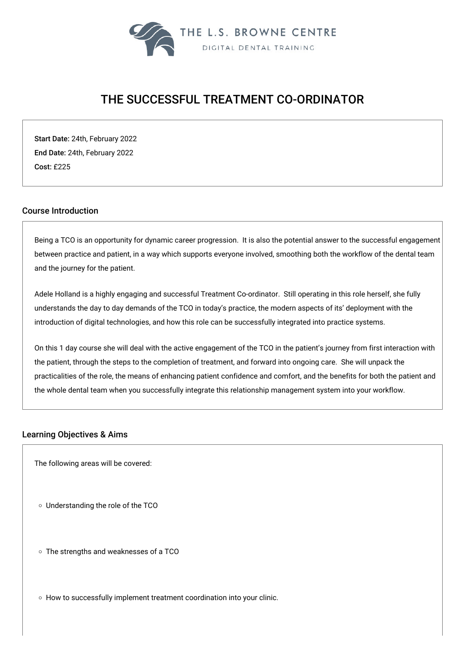

# THE SUCCESSFUL TREATMENT CO-ORDINATOR

Start Date: 24th, February 2022 End Date: 24th, February 2022 Cost: £225

# Course Introduction

Being a TCO is an opportunity for dynamic career progression. It is also the potential answer to the successful engagement between practice and patient, in a way which supports everyone involved, smoothing both the workflow of the dental team and the journey for the patient.

Adele Holland is a highly engaging and successful Treatment Co-ordinator. Still operating in this role herself, she fully understands the day to day demands of the TCO in today's practice, the modern aspects of its' deployment with the introduction of digital technologies, and how this role can be successfully integrated into practice systems.

On this 1 day course she will deal with the active engagement of the TCO in the patient's journey from first interaction with the patient, through the steps to the completion of treatment, and forward into ongoing care. She will unpack the practicalities of the role, the means of enhancing patient confidence and comfort, and the benefits for both the patient and the whole dental team when you successfully integrate this relationship management system into your workflow.

#### Learning Objectives & Aims

The following areas will be covered:

Understanding the role of the TCO

The strengths and weaknesses of a TCO

o How to successfully implement treatment coordination into your clinic.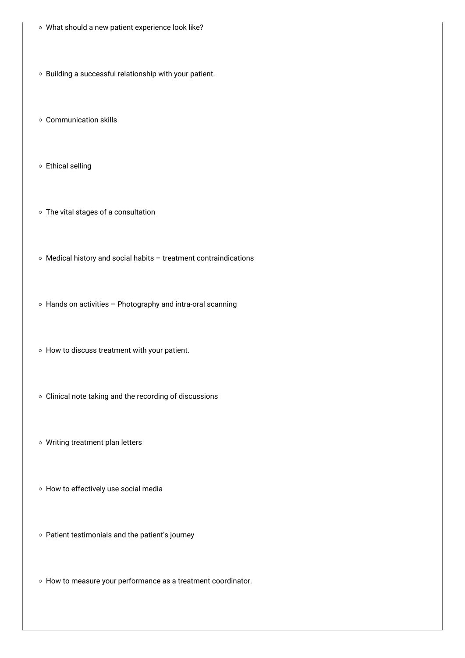- What should a new patient experience look like?
- o Building a successful relationship with your patient.
- Communication skills
- Ethical selling
- The vital stages of a consultation
- Medical history and social habits treatment contraindications
- Hands on activities Photography and intra-oral scanning
- $\circ$  How to discuss treatment with your patient.
- Clinical note taking and the recording of discussions
- Writing treatment plan letters
- How to effectively use social media
- Patient testimonials and the patient's journey
- How to measure your performance as a treatment coordinator.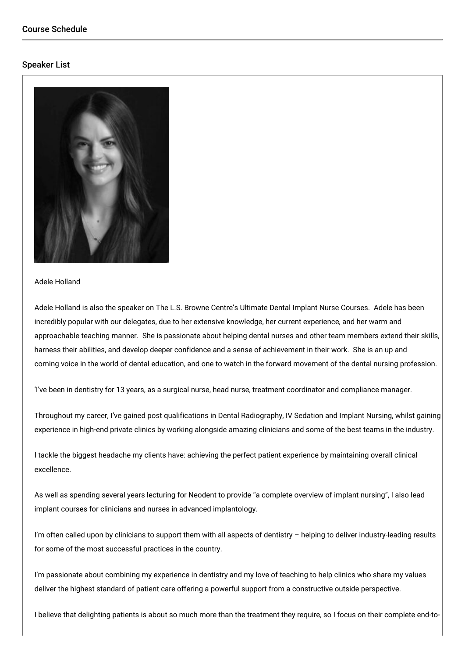# Speaker List



#### Adele Holland

Adele Holland is also the speaker on The L.S. Browne Centre's Ultimate Dental Implant Nurse Courses. Adele has been incredibly popular with our delegates, due to her extensive knowledge, her current experience, and her warm and approachable teaching manner. She is passionate about helping dental nurses and other team members extend their skills, harness their abilities, and develop deeper confidence and a sense of achievement in their work. She is an up and coming voice in the world of dental education, and one to watch in the forward movement of the dental nursing profession.

'I've been in dentistry for 13 years, as a surgical nurse, head nurse, treatment coordinator and compliance manager.

Throughout my career, I've gained post qualifications in Dental Radiography, IV Sedation and Implant Nursing, whilst gaining experience in high-end private clinics by working alongside amazing clinicians and some of the best teams in the industry.

I tackle the biggest headache my clients have: achieving the perfect patient experience by maintaining overall clinical excellence.

As well as spending several years lecturing for Neodent to provide "a complete overview of implant nursing", I also lead implant courses for clinicians and nurses in advanced implantology.

I'm often called upon by clinicians to support them with all aspects of dentistry  $-$  helping to deliver industry-leading results for some of the most successful practices in the country.

I'm passionate about combining my experience in dentistry and my love of teaching to help clinics who share my values deliver the highest standard of patient care offering a powerful support from a constructive outside perspective.

I believe that delighting patients is about so much more than the treatment they require, so I focus on their complete end-to-